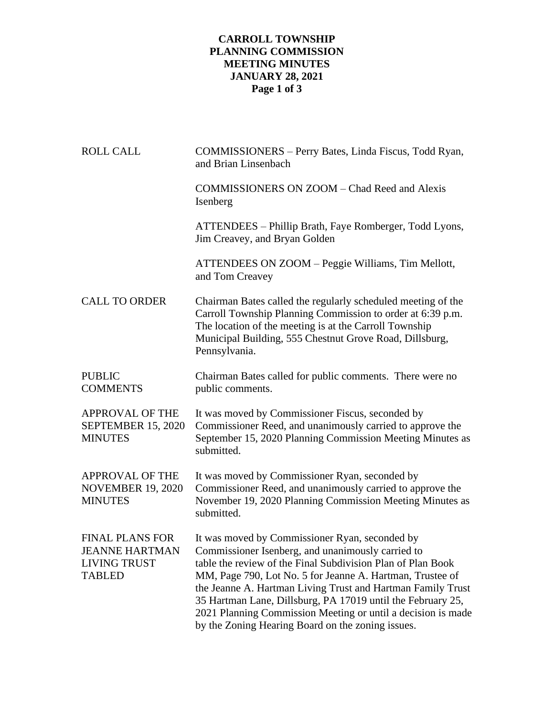# **CARROLL TOWNSHIP PLANNING COMMISSION MEETING MINUTES JANUARY 28, 2021 Page 1 of 3**

| <b>ROLL CALL</b>                                                                        | COMMISSIONERS - Perry Bates, Linda Fiscus, Todd Ryan,<br>and Brian Linsenbach                                                                                                                                                                                                                                                                                                                                                                                                      |  |
|-----------------------------------------------------------------------------------------|------------------------------------------------------------------------------------------------------------------------------------------------------------------------------------------------------------------------------------------------------------------------------------------------------------------------------------------------------------------------------------------------------------------------------------------------------------------------------------|--|
|                                                                                         | COMMISSIONERS ON ZOOM – Chad Reed and Alexis<br>Isenberg                                                                                                                                                                                                                                                                                                                                                                                                                           |  |
|                                                                                         | ATTENDEES – Phillip Brath, Faye Romberger, Todd Lyons,<br>Jim Creavey, and Bryan Golden                                                                                                                                                                                                                                                                                                                                                                                            |  |
|                                                                                         | ATTENDEES ON ZOOM - Peggie Williams, Tim Mellott,<br>and Tom Creavey                                                                                                                                                                                                                                                                                                                                                                                                               |  |
| <b>CALL TO ORDER</b>                                                                    | Chairman Bates called the regularly scheduled meeting of the<br>Carroll Township Planning Commission to order at 6:39 p.m.<br>The location of the meeting is at the Carroll Township<br>Municipal Building, 555 Chestnut Grove Road, Dillsburg,<br>Pennsylvania.                                                                                                                                                                                                                   |  |
| <b>PUBLIC</b><br><b>COMMENTS</b>                                                        | Chairman Bates called for public comments. There were no<br>public comments.                                                                                                                                                                                                                                                                                                                                                                                                       |  |
| <b>APPROVAL OF THE</b><br>SEPTEMBER 15, 2020<br><b>MINUTES</b>                          | It was moved by Commissioner Fiscus, seconded by<br>Commissioner Reed, and unanimously carried to approve the<br>September 15, 2020 Planning Commission Meeting Minutes as<br>submitted.                                                                                                                                                                                                                                                                                           |  |
| APPROVAL OF THE<br><b>NOVEMBER 19, 2020</b><br><b>MINUTES</b>                           | It was moved by Commissioner Ryan, seconded by<br>Commissioner Reed, and unanimously carried to approve the<br>November 19, 2020 Planning Commission Meeting Minutes as<br>submitted.                                                                                                                                                                                                                                                                                              |  |
| <b>FINAL PLANS FOR</b><br><b>JEANNE HARTMAN</b><br><b>LIVING TRUST</b><br><b>TABLED</b> | It was moved by Commissioner Ryan, seconded by<br>Commissioner Isenberg, and unanimously carried to<br>table the review of the Final Subdivision Plan of Plan Book<br>MM, Page 790, Lot No. 5 for Jeanne A. Hartman, Trustee of<br>the Jeanne A. Hartman Living Trust and Hartman Family Trust<br>35 Hartman Lane, Dillsburg, PA 17019 until the February 25,<br>2021 Planning Commission Meeting or until a decision is made<br>by the Zoning Hearing Board on the zoning issues. |  |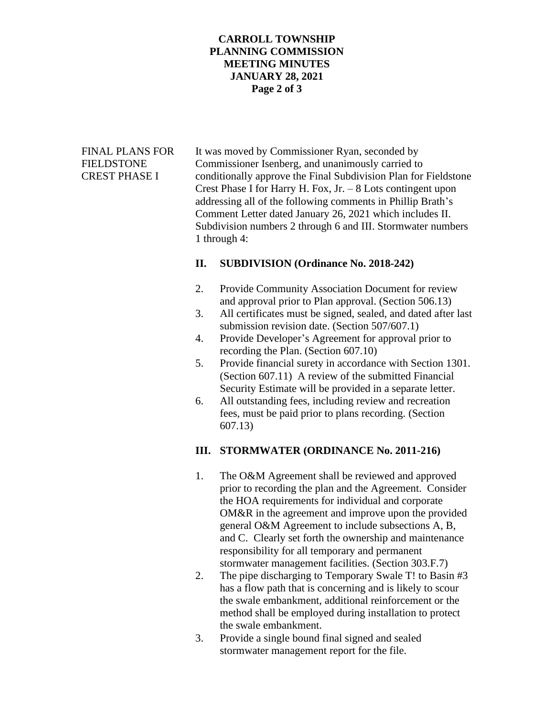### **CARROLL TOWNSHIP PLANNING COMMISSION MEETING MINUTES JANUARY 28, 2021 Page 2 of 3**

FINAL PLANS FOR It was moved by Commissioner Ryan, seconded by FIELDSTONE Commissioner Isenberg, and unanimously carried to CREST PHASE I conditionally approve the Final Subdivision Plan for Fieldstone Crest Phase I for Harry H. Fox, Jr. – 8 Lots contingent upon addressing all of the following comments in Phillip Brath's Comment Letter dated January 26, 2021 which includes II. Subdivision numbers 2 through 6 and III. Stormwater numbers 1 through 4:

## **II. SUBDIVISION (Ordinance No. 2018-242)**

- 2. Provide Community Association Document for review and approval prior to Plan approval. (Section 506.13)
- 3. All certificates must be signed, sealed, and dated after last submission revision date. (Section 507/607.1)
- 4. Provide Developer's Agreement for approval prior to recording the Plan. (Section 607.10)
- 5. Provide financial surety in accordance with Section 1301. (Section 607.11) A review of the submitted Financial Security Estimate will be provided in a separate letter.
- 6. All outstanding fees, including review and recreation fees, must be paid prior to plans recording. (Section 607.13)

#### **III. STORMWATER (ORDINANCE No. 2011-216)**

- 1. The O&M Agreement shall be reviewed and approved prior to recording the plan and the Agreement. Consider the HOA requirements for individual and corporate OM&R in the agreement and improve upon the provided general O&M Agreement to include subsections A, B, and C. Clearly set forth the ownership and maintenance responsibility for all temporary and permanent stormwater management facilities. (Section 303.F.7)
- 2. The pipe discharging to Temporary Swale T! to Basin #3 has a flow path that is concerning and is likely to scour the swale embankment, additional reinforcement or the method shall be employed during installation to protect the swale embankment.
- 3. Provide a single bound final signed and sealed stormwater management report for the file.